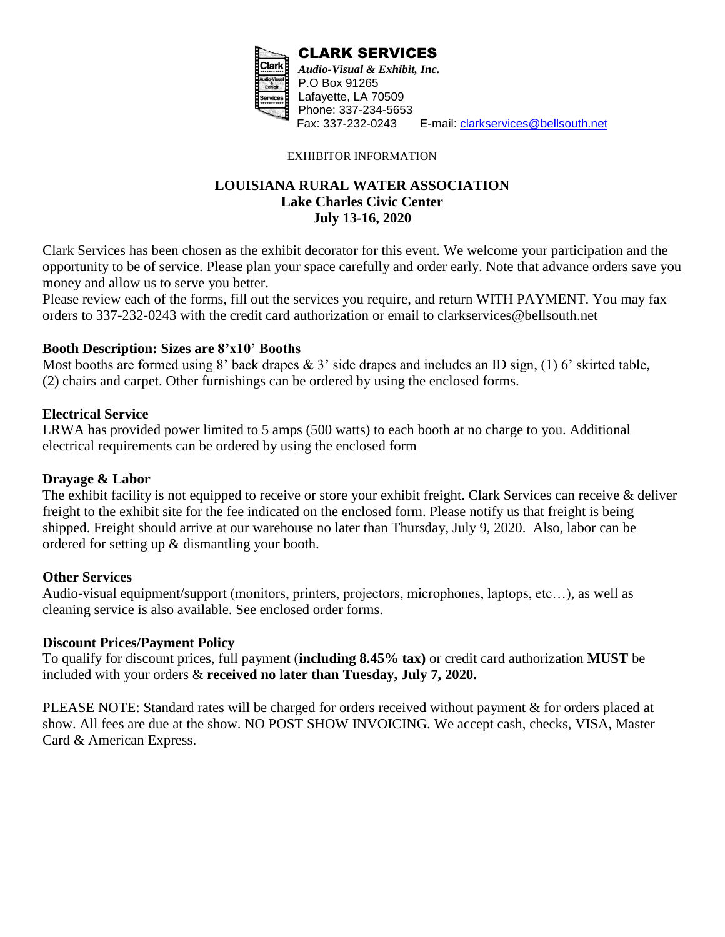

E-mail: [clarkservices@bellsouth.net](mailto:clarkservices@bellsouth.net)

EXHIBITOR INFORMATION

## **LOUISIANA RURAL WATER ASSOCIATION Lake Charles Civic Center July 13-16, 2020**

Clark Services has been chosen as the exhibit decorator for this event. We welcome your participation and the opportunity to be of service. Please plan your space carefully and order early. Note that advance orders save you money and allow us to serve you better.

Please review each of the forms, fill out the services you require, and return WITH PAYMENT. You may fax orders to 337-232-0243 with the credit card authorization or email to clarkservices@bellsouth.net

### **Booth Description: Sizes are 8'x10' Booths**

Most booths are formed using 8' back drapes  $\& 3$ ' side drapes and includes an ID sign, (1) 6' skirted table, (2) chairs and carpet. Other furnishings can be ordered by using the enclosed forms.

### **Electrical Service**

LRWA has provided power limited to 5 amps (500 watts) to each booth at no charge to you. Additional electrical requirements can be ordered by using the enclosed form

## **Drayage & Labor**

The exhibit facility is not equipped to receive or store your exhibit freight. Clark Services can receive & deliver freight to the exhibit site for the fee indicated on the enclosed form. Please notify us that freight is being shipped. Freight should arrive at our warehouse no later than Thursday, July 9, 2020. Also, labor can be ordered for setting up & dismantling your booth.

## **Other Services**

Audio-visual equipment/support (monitors, printers, projectors, microphones, laptops, etc…), as well as cleaning service is also available. See enclosed order forms.

## **Discount Prices/Payment Policy**

To qualify for discount prices, full payment (**including 8.45% tax)** or credit card authorization **MUST** be included with your orders & **received no later than Tuesday, July 7, 2020.**

PLEASE NOTE: Standard rates will be charged for orders received without payment & for orders placed at show. All fees are due at the show. NO POST SHOW INVOICING. We accept cash, checks, VISA, Master Card & American Express.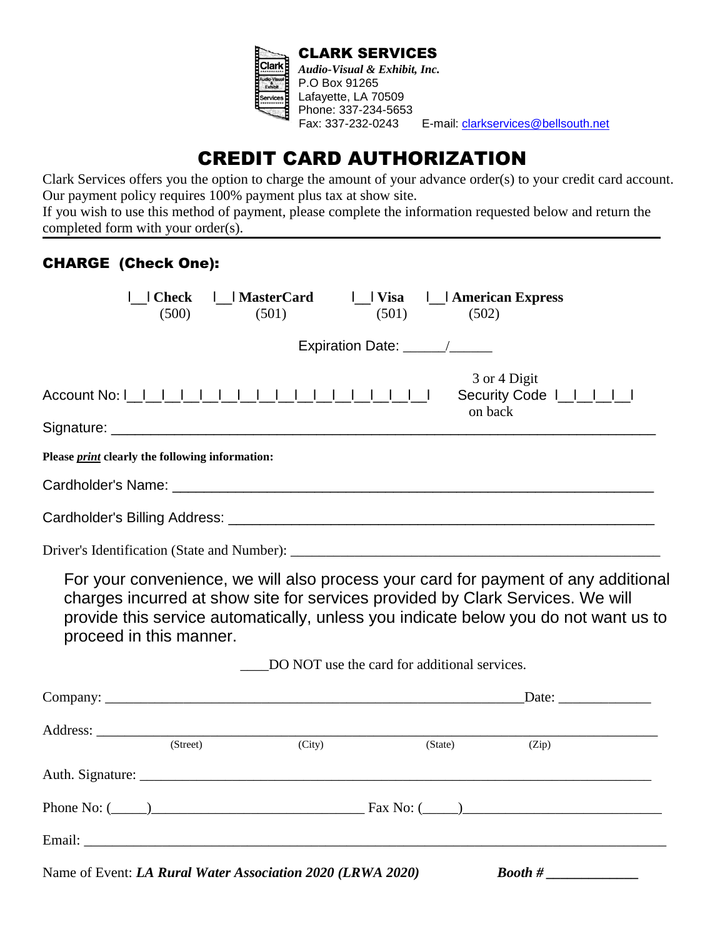

E-mail: [clarkservices@bellsouth.net](mailto:clarkservices@bellsouth.net)

# CREDIT CARD AUTHORIZATION

Clark Services offers you the option to charge the amount of your advance order(s) to your credit card account. Our payment policy requires 100% payment plus tax at show site.

If you wish to use this method of payment, please complete the information requested below and return the completed form with your order(s).

## CHARGE (Check One):

| (500)                                                  | Check     MasterCard<br>(501)                              | (501)                                        | (502)   | Visa       American Express                                                                                                                                                                                                                                 |
|--------------------------------------------------------|------------------------------------------------------------|----------------------------------------------|---------|-------------------------------------------------------------------------------------------------------------------------------------------------------------------------------------------------------------------------------------------------------------|
|                                                        |                                                            | Expiration Date: _____/______                |         |                                                                                                                                                                                                                                                             |
|                                                        |                                                            |                                              |         | 3 or 4 Digit<br>Security Code          <br>on back                                                                                                                                                                                                          |
| Please <i>print</i> clearly the following information: |                                                            |                                              |         |                                                                                                                                                                                                                                                             |
|                                                        |                                                            |                                              |         |                                                                                                                                                                                                                                                             |
|                                                        |                                                            |                                              |         |                                                                                                                                                                                                                                                             |
|                                                        |                                                            |                                              |         |                                                                                                                                                                                                                                                             |
| proceed in this manner.                                |                                                            |                                              |         | For your convenience, we will also process your card for payment of any additional<br>charges incurred at show site for services provided by Clark Services. We will<br>provide this service automatically, unless you indicate below you do not want us to |
|                                                        |                                                            | DO NOT use the card for additional services. |         |                                                                                                                                                                                                                                                             |
|                                                        |                                                            |                                              |         |                                                                                                                                                                                                                                                             |
| (Street)                                               | (City)                                                     |                                              | (State) | (Zip)                                                                                                                                                                                                                                                       |
|                                                        |                                                            |                                              |         |                                                                                                                                                                                                                                                             |
|                                                        |                                                            |                                              |         | Phone No: $\frac{1}{2}$ Phone No: $\frac{1}{2}$ Phone No: $\frac{1}{2}$ Pax No: $\frac{1}{2}$ Pax No: $\frac{1}{2}$ Phone No: $\frac{1}{2}$                                                                                                                 |
|                                                        |                                                            |                                              |         |                                                                                                                                                                                                                                                             |
|                                                        | Name of Event: LA Rural Water Association 2020 (LRWA 2020) |                                              |         | $\emph{Bookh # \_\_}$                                                                                                                                                                                                                                       |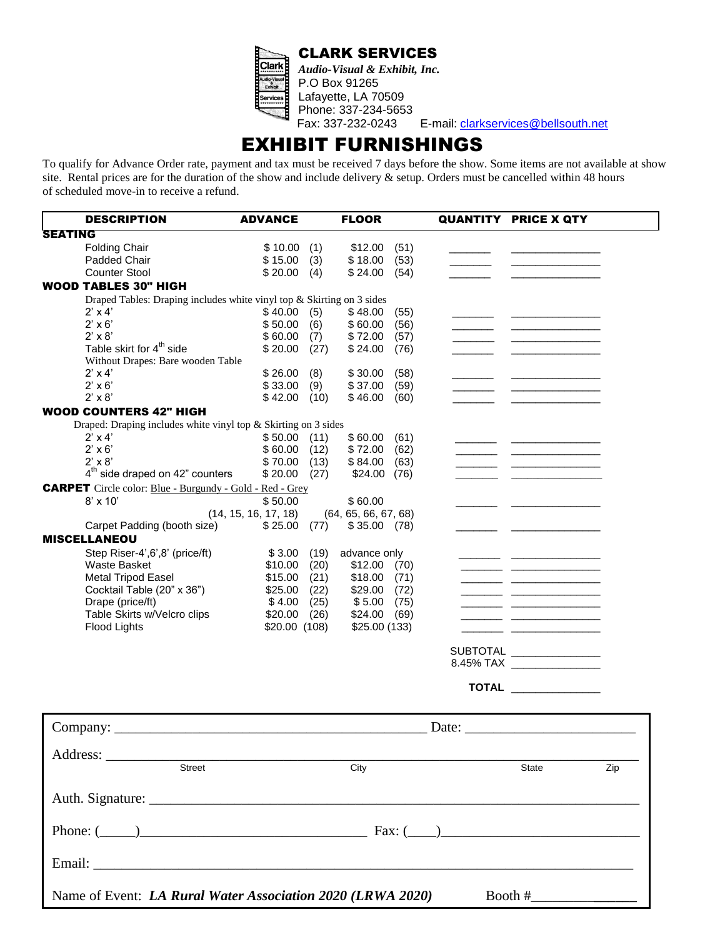



*Audio-Visual & Exhibit, Inc.* P.O Box 91265 Lafayette, LA 70509 Phone: 337-234-5653

E-mail: [clarkservices@bellsouth.net](mailto:clarkservices@bellsouth.net)

# EXHIBIT FURNISHINGS

To qualify for Advance Order rate, payment and tax must be received 7 days before the show. Some items are not available at show site. Rental prices are for the duration of the show and include delivery  $\&$  setup. Orders must be cancelled within 48 hours of scheduled move-in to receive a refund.

| <b>DESCRIPTION</b>                                                    | <b>ADVANCE</b>       |      | <b>FLOOR</b>         |      | <b>QUANTITY PRICE X QTY</b>                    |     |
|-----------------------------------------------------------------------|----------------------|------|----------------------|------|------------------------------------------------|-----|
| <b>SEATING</b>                                                        |                      |      |                      |      |                                                |     |
| <b>Folding Chair</b>                                                  | \$10.00              | (1)  | \$12.00              | (51) |                                                |     |
| Padded Chair                                                          | \$15.00              | (3)  | \$18.00              | (53) |                                                |     |
| <b>Counter Stool</b>                                                  | \$20.00              | (4)  | \$24.00              | (54) |                                                |     |
| <b>WOOD TABLES 30" HIGH</b>                                           |                      |      |                      |      |                                                |     |
| Draped Tables: Draping includes white vinyl top & Skirting on 3 sides |                      |      |                      |      |                                                |     |
| $2' \times 4'$                                                        | \$40.00              | (5)  | \$48.00              | (55) |                                                |     |
| $2' \times 6'$                                                        | \$50.00              | (6)  | \$60.00              | (56) |                                                |     |
| $2' \times 8'$                                                        | \$60.00              | (7)  | \$72.00              | (57) |                                                |     |
| Table skirt for 4 <sup>th</sup> side                                  | \$20.00              | (27) | \$24.00<br>(76)      |      |                                                |     |
| Without Drapes: Bare wooden Table                                     |                      |      |                      |      |                                                |     |
| $2' \times 4'$                                                        | \$26.00              | (8)  | \$30.00              | (58) |                                                |     |
| $2' \times 6'$                                                        | \$33.00              | (9)  | \$37.00              | (59) |                                                |     |
| $2' \times 8'$                                                        | \$42.00              | (10) | \$46.00              | (60) |                                                |     |
| <b>WOOD COUNTERS 42" HIGH</b>                                         |                      |      |                      |      |                                                |     |
| Draped: Draping includes white vinyl top & Skirting on 3 sides        |                      |      |                      |      |                                                |     |
| $2' \times 4'$                                                        | \$50.00              | (11) | \$60.00              | (61) |                                                |     |
| $2' \times 6'$                                                        | \$60.00              | (12) | \$72.00              | (62) | <u> De Barbara de Caractería de Caractería</u> |     |
| $2' \times 8'$                                                        | \$70.00              | (13) | \$84.00              | (63) |                                                |     |
| $4th$ side draped on 42" counters                                     | \$20.00              | (27) | \$24.00<br>(76)      |      |                                                |     |
| <b>CARPET</b> Circle color: Blue - Burgundy - Gold - Red - Grey       |                      |      |                      |      |                                                |     |
| $8' \times 10'$                                                       | \$50.00              |      | \$60.00              |      |                                                |     |
|                                                                       | (14, 15, 16, 17, 18) |      | (64, 65, 66, 67, 68) |      |                                                |     |
| Carpet Padding (booth size)                                           | \$25.00              | (77) | \$35.00<br>(78)      |      |                                                |     |
| <b>MISCELLANEOU</b>                                                   |                      |      |                      |      |                                                |     |
| Step Riser-4', 6', 8' (price/ft)                                      | \$3.00               | (19) | advance only         |      |                                                |     |
| <b>Waste Basket</b>                                                   | \$10.00              | (20) | \$12.00<br>(70)      |      |                                                |     |
| <b>Metal Tripod Easel</b>                                             | \$15.00              | (21) | \$18.00<br>(71)      |      |                                                |     |
| Cocktail Table (20" x 36")                                            | \$25.00              | (22) | \$29.00<br>(72)      |      |                                                |     |
| Drape (price/ft)                                                      | \$4.00               | (25) | \$5.00               | (75) | <b>Contract Contract</b>                       |     |
| Table Skirts w/Velcro clips                                           | \$20.00              | (26) | \$24.00              | (69) |                                                |     |
| Flood Lights                                                          | \$20.00 (108)        |      | \$25.00 (133)        |      |                                                |     |
|                                                                       |                      |      |                      |      |                                                |     |
|                                                                       |                      |      |                      |      | SUBTOTAL _______________                       |     |
|                                                                       |                      |      |                      |      |                                                |     |
|                                                                       |                      |      |                      |      | <b>TOTAL</b>                                   |     |
|                                                                       |                      |      |                      |      |                                                |     |
|                                                                       |                      |      |                      |      |                                                |     |
|                                                                       |                      |      |                      |      | Date:                                          |     |
| Address:                                                              |                      |      |                      |      |                                                |     |
| <b>Street</b>                                                         |                      |      | City                 |      | <b>State</b>                                   | Zip |
|                                                                       |                      |      |                      |      |                                                |     |
| Auth. Signature:                                                      |                      |      |                      |      |                                                |     |

Phone: (\_\_\_\_\_)\_\_\_\_\_\_\_\_\_\_\_\_\_\_\_\_\_\_\_\_\_\_\_\_\_\_\_\_\_\_\_\_ Fax: (\_\_\_\_)\_\_\_\_\_\_\_\_\_\_\_\_\_\_\_\_\_\_\_\_\_\_\_\_\_\_\_\_ Email: \_\_\_\_\_\_\_\_\_\_\_\_\_\_\_\_\_\_\_\_\_\_\_\_\_\_\_\_\_\_\_\_\_\_\_\_\_\_\_\_\_\_\_\_\_\_\_\_\_\_\_\_\_\_\_\_\_\_\_\_\_\_\_\_\_\_\_\_\_\_\_\_\_\_\_\_ Name of Event: *LA Rural Water Association 2020 (LRWA 2020)* Booth #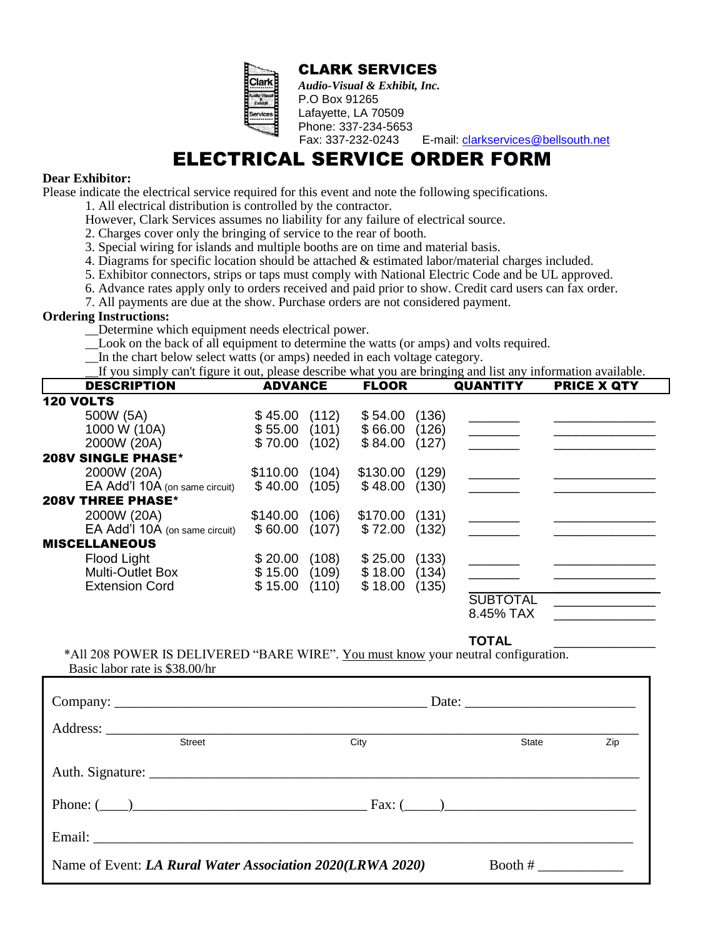| İ      |        |  |
|--------|--------|--|
| E      | a      |  |
| ī      | ċ,     |  |
| É<br>ï | ervice |  |
|        |        |  |

 CLARK SERVICES *Audio-Visual & Exhibit, Inc.*

Lafayette, LA 70509 Phone: 337-234-5653

Fax: 337-232-0243 E-mail: [clarkservices@bellsouth.net](mailto:clarkservices@bellsouth.net)

# ELECTRICAL SERVICE ORDER FORM

P.O Box 91265

#### **Dear Exhibitor:**

Please indicate the electrical service required for this event and note the following specifications.

- 1. All electrical distribution is controlled by the contractor.
- However, Clark Services assumes no liability for any failure of electrical source.
- 2. Charges cover only the bringing of service to the rear of booth.
- 3. Special wiring for islands and multiple booths are on time and material basis.
- 4. Diagrams for specific location should be attached & estimated labor/material charges included.
- 5. Exhibitor connectors, strips or taps must comply with National Electric Code and be UL approved.
- 6. Advance rates apply only to orders received and paid prior to show. Credit card users can fax order.
- 7. All payments are due at the show. Purchase orders are not considered payment.

#### **Ordering Instructions:**

- \_\_Determine which equipment needs electrical power.
- \_\_Look on the back of all equipment to determine the watts (or amps) and volts required.
- \_\_In the chart below select watts (or amps) needed in each voltage category.

\_\_If you simply can't figure it out, please describe what you are bringing and list any information available.

| <b>DESCRIPTION</b>             | <b>ADVANCE</b>    | <b>FLOOR</b>      | <b>QUANTITY</b> | <b>PRICE X QTY</b> |
|--------------------------------|-------------------|-------------------|-----------------|--------------------|
| <b>120 VOLTS</b>               |                   |                   |                 |                    |
| 500W (5A)                      | (112)<br>\$45.00  | (136)<br>\$54.00  |                 |                    |
| 1000 W (10A)                   | \$55.00<br>(101)  | \$66.00<br>(126)  |                 |                    |
| 2000W (20A)                    | \$70.00<br>(102)  | \$84.00<br>(127)  |                 |                    |
| <b>208V SINGLE PHASE*</b>      |                   |                   |                 |                    |
| 2000W (20A)                    | \$110.00<br>(104) | (129)<br>\$130.00 |                 |                    |
| EA Add'l 10A (on same circuit) | \$40.00<br>(105)  | \$48.00<br>(130)  |                 |                    |
| <b>208V THREE PHASE*</b>       |                   |                   |                 |                    |
| 2000W (20A)                    | (106)<br>\$140.00 | \$170.00<br>(131) |                 |                    |
| EA Add'l 10A (on same circuit) | (107)<br>\$60.00  | \$72.00<br>(132)  |                 |                    |
| <b>MISCELLANEOUS</b>           |                   |                   |                 |                    |
| Flood Light                    | (108)<br>\$20.00  | (133)<br>\$25.00  |                 |                    |
| <b>Multi-Outlet Box</b>        | \$15.00<br>(109)  | \$18.00<br>(134)  |                 |                    |
| <b>Extension Cord</b>          | \$15.00<br>(110)  | \$18.00<br>(135)  |                 |                    |
|                                |                   |                   | <b>SUBTOTAL</b> |                    |
|                                |                   |                   | 8.45% TAX       |                    |

**TOTAL** \_\_\_\_\_\_\_\_\_\_\_\_\_\_

\*All 208 POWER IS DELIVERED "BARE WIRE". You must know your neutral configuration. Basic labor rate is \$38.00/hr

| <b>Street</b> | City                                                             |  | State                 | Zip |
|---------------|------------------------------------------------------------------|--|-----------------------|-----|
|               |                                                                  |  |                       |     |
|               | Phone: $(\_\_)$                                                  |  |                       |     |
|               |                                                                  |  |                       |     |
|               | Name of Event: <i>LA Rural Water Association 2020(LRWA 2020)</i> |  | Booth # $\frac{1}{2}$ |     |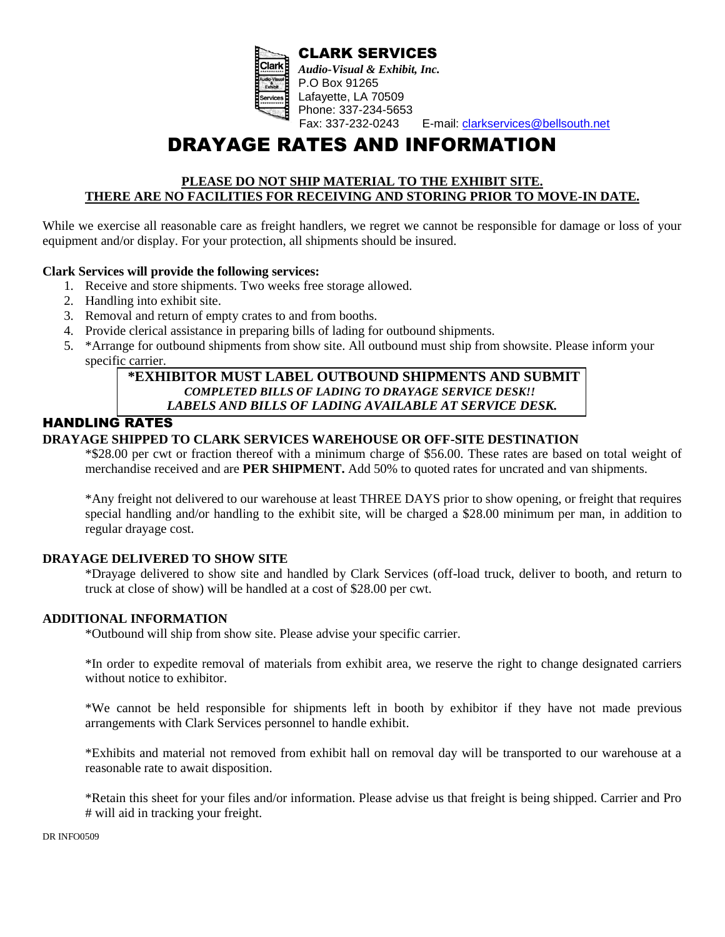

CLARK SERVICES *Audio-Visual & Exhibit, Inc.* P.O Box 91265 Lafayette, LA 70509 Phone: 337-234-5653<br>Fax: 337-232-0243 E-mail: [clarkservices@bellsouth.net](mailto:clarkservices@bellsouth.net)

# DRAYAGE RATES AND INFORMATION

#### **PLEASE DO NOT SHIP MATERIAL TO THE EXHIBIT SITE. THERE ARE NO FACILITIES FOR RECEIVING AND STORING PRIOR TO MOVE-IN DATE.**

While we exercise all reasonable care as freight handlers, we regret we cannot be responsible for damage or loss of your equipment and/or display. For your protection, all shipments should be insured.

#### **Clark Services will provide the following services:**

- 1. Receive and store shipments. Two weeks free storage allowed.
- 2. Handling into exhibit site.
- 3. Removal and return of empty crates to and from booths.
- 4. Provide clerical assistance in preparing bills of lading for outbound shipments.
- 5. \*Arrange for outbound shipments from show site. All outbound must ship from showsite. Please inform your specific carrier.

#### **\*EXHIBITOR MUST LABEL OUTBOUND SHIPMENTS AND SUBMIT**  *COMPLETED BILLS OF LADING TO DRAYAGE SERVICE DESK!! LABELS AND BILLS OF LADING AVAILABLE AT SERVICE DESK.*

### HANDLING RATES

#### **DRAYAGE SHIPPED TO CLARK SERVICES WAREHOUSE OR OFF-SITE DESTINATION**

\*\$28.00 per cwt or fraction thereof with a minimum charge of \$56.00. These rates are based on total weight of merchandise received and are **PER SHIPMENT.** Add 50% to quoted rates for uncrated and van shipments.

\*Any freight not delivered to our warehouse at least THREE DAYS prior to show opening, or freight that requires special handling and/or handling to the exhibit site, will be charged a \$28.00 minimum per man, in addition to regular drayage cost.

#### **DRAYAGE DELIVERED TO SHOW SITE**

\*Drayage delivered to show site and handled by Clark Services (off-load truck, deliver to booth, and return to truck at close of show) will be handled at a cost of \$28.00 per cwt.

#### **ADDITIONAL INFORMATION**

\*Outbound will ship from show site. Please advise your specific carrier.

\*In order to expedite removal of materials from exhibit area, we reserve the right to change designated carriers without notice to exhibitor.

\*We cannot be held responsible for shipments left in booth by exhibitor if they have not made previous arrangements with Clark Services personnel to handle exhibit.

\*Exhibits and material not removed from exhibit hall on removal day will be transported to our warehouse at a reasonable rate to await disposition.

\*Retain this sheet for your files and/or information. Please advise us that freight is being shipped. Carrier and Pro # will aid in tracking your freight.

DR INFO0509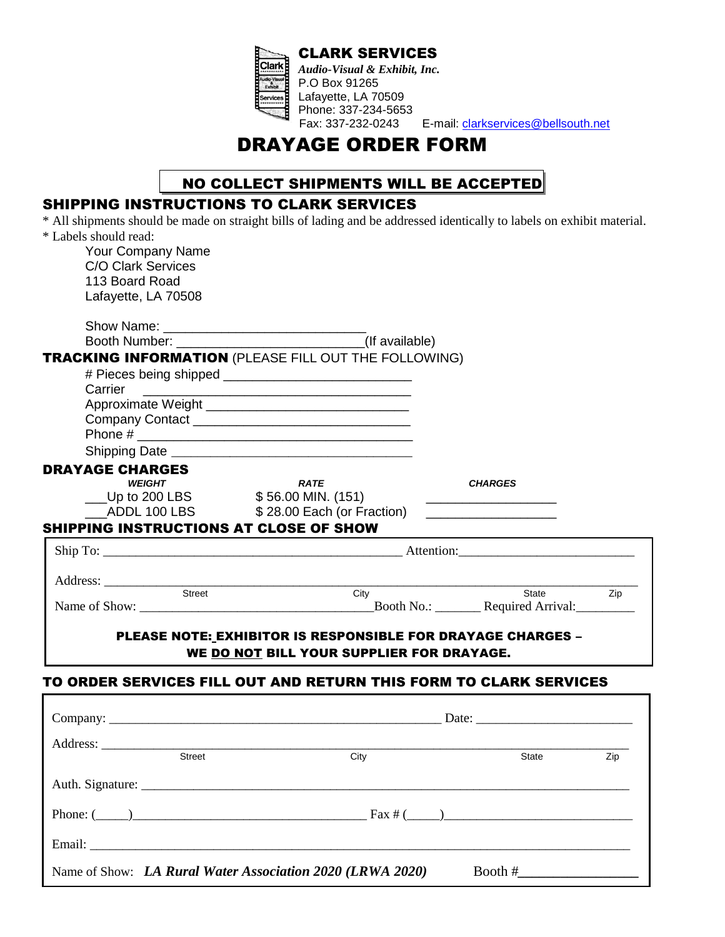

CLARK SERVICES *Audio-Visual & Exhibit, Inc.* P.O Box 91265 Lafayette, LA 70509 Phone: 337-234-5653 Fax: 337-232-0243 E-mail: [clarkservices@bellsouth.net](mailto:clarkservices@bellsouth.net)

DRAYAGE ORDER FORM

# NO COLLECT SHIPMENTS WILL BE ACCEPTED

# SHIPPING INSTRUCTIONS TO CLARK SERVICES

| * Labels should read:<br><b>Your Company Name</b><br><b>C/O Clark Services</b><br>113 Board Road<br>Lafayette, LA 70508<br><b>TRACKING INFORMATION (PLEASE FILL OUT THE FOLLOWING)</b> |                                                                                                                               | * All shipments should be made on straight bills of lading and be addressed identically to labels on exhibit material. |
|----------------------------------------------------------------------------------------------------------------------------------------------------------------------------------------|-------------------------------------------------------------------------------------------------------------------------------|------------------------------------------------------------------------------------------------------------------------|
| Carrier                                                                                                                                                                                |                                                                                                                               |                                                                                                                        |
|                                                                                                                                                                                        | <u> Alexandro de la contrada de la contrada de la contrada de la contrada de la contrada de la contrada de la co</u>          |                                                                                                                        |
|                                                                                                                                                                                        |                                                                                                                               |                                                                                                                        |
|                                                                                                                                                                                        |                                                                                                                               |                                                                                                                        |
|                                                                                                                                                                                        |                                                                                                                               |                                                                                                                        |
| <b>DRAYAGE CHARGES</b><br><b>WEIGHT</b>                                                                                                                                                | <b>RATE</b>                                                                                                                   | <b>CHARGES</b>                                                                                                         |
| Let Up to 200 LBS \$56.00 MIN. (151)                                                                                                                                                   |                                                                                                                               |                                                                                                                        |
|                                                                                                                                                                                        | ADDL 100 LBS \$28.00 Each (or Fraction)                                                                                       |                                                                                                                        |
| <b>SHIPPING INSTRUCTIONS AT CLOSE OF SHOW</b>                                                                                                                                          |                                                                                                                               |                                                                                                                        |
|                                                                                                                                                                                        |                                                                                                                               |                                                                                                                        |
|                                                                                                                                                                                        |                                                                                                                               |                                                                                                                        |
| Street                                                                                                                                                                                 | <u> 1989 - John Harry Harry Harry Harry Harry Harry Harry Harry Harry Harry Harry Harry Harry Harry Harry Harry H</u><br>City | State<br>Zip                                                                                                           |
|                                                                                                                                                                                        |                                                                                                                               | Name of Show: Booth No.: Required Arrival:                                                                             |
|                                                                                                                                                                                        |                                                                                                                               |                                                                                                                        |
|                                                                                                                                                                                        | <b>PLEASE NOTE: EXHIBITOR IS RESPONSIBLE FOR DRAYAGE CHARGES -</b><br>WE DO NOT BILL YOUR SUPPLIER FOR DRAYAGE.               |                                                                                                                        |
| TO ORDER SERVICES FILL OUT AND RETURN THIS FORM TO CLARK SERVICES                                                                                                                      |                                                                                                                               |                                                                                                                        |
|                                                                                                                                                                                        |                                                                                                                               |                                                                                                                        |
|                                                                                                                                                                                        |                                                                                                                               |                                                                                                                        |

|                                                           |      | Date: $\frac{1}{\sqrt{1-\frac{1}{2}} \cdot \frac{1}{2}}$ |     |
|-----------------------------------------------------------|------|----------------------------------------------------------|-----|
| <b>Street</b>                                             | City | State                                                    | Zip |
|                                                           |      |                                                          |     |
| Phone: $(\_\_)$                                           |      |                                                          |     |
|                                                           |      |                                                          |     |
| Name of Show: LA Rural Water Association 2020 (LRWA 2020) |      | Booth #                                                  |     |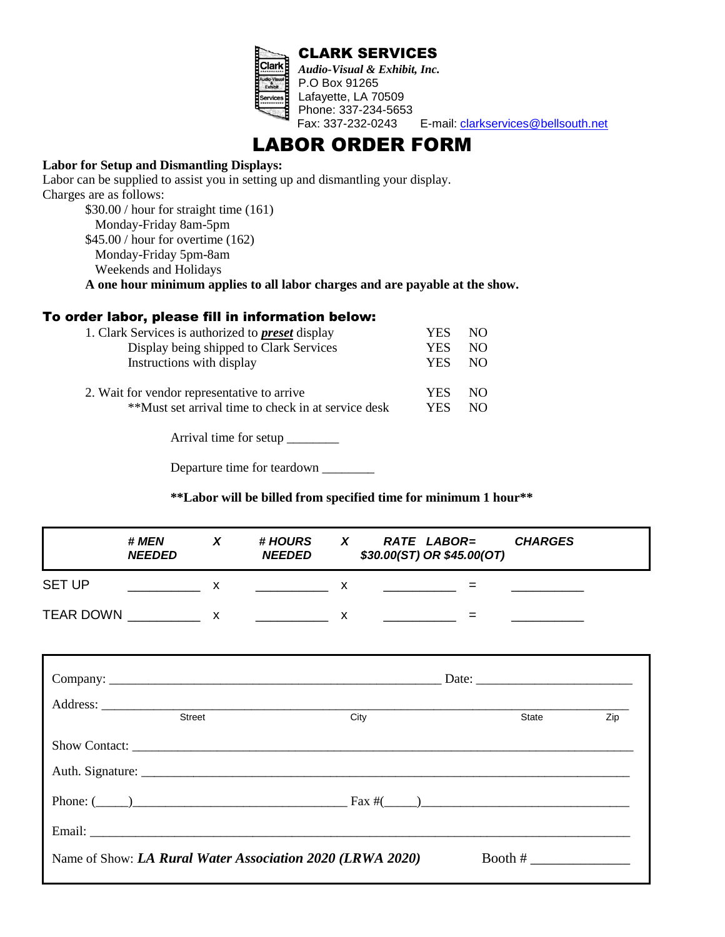

P.O Box 91265 Lafayette, LA 70509 Phone: 337-234-5653<br>Fax: 337-232-0243 E-mail: [clarkservices@bellsouth.net](mailto:clarkservices@bellsouth.net)

LABOR ORDER FORM

#### **Labor for Setup and Dismantling Displays:**

Labor can be supplied to assist you in setting up and dismantling your display. Charges are as follows:

\$30.00 / hour for straight time (161) Monday-Friday 8am-5pm \$45.00 / hour for overtime (162) Monday-Friday 5pm-8am Weekends and Holidays

**A one hour minimum applies to all labor charges and are payable at the show.** 

#### To order labor, please fill in information below:

| 1. Clark Services is authorized to <b>preset</b> display | YES        | NO. |
|----------------------------------------------------------|------------|-----|
| Display being shipped to Clark Services                  | YES        | NΟ  |
| Instructions with display                                | <b>YES</b> | NO. |
|                                                          |            |     |
| 2. Wait for vendor representative to arrive              | YES.       | NO. |
| **Must set arrival time to check in at service desk      | YES.       | NΟ  |

Arrival time for setup \_\_\_\_\_\_\_\_

Departure time for teardown \_\_\_\_\_\_\_\_\_

**\*\*Labor will be billed from specified time for minimum 1 hour\*\***

|                  | # MEN<br><b>NEEDED</b> | # HOURS<br><b>NEEDED</b> | X | RATE LABOR=<br>\$30.00(ST) OR \$45.00(OT) | <b>CHARGES</b> |
|------------------|------------------------|--------------------------|---|-------------------------------------------|----------------|
| <b>SET UP</b>    |                        |                          |   |                                           |                |
| <b>TEAR DOWN</b> |                        |                          |   |                                           |                |

| <b>Street</b>                                             | City | State     | Zip |
|-----------------------------------------------------------|------|-----------|-----|
|                                                           |      |           |     |
|                                                           |      |           |     |
| Phone: $(\_\_)$                                           |      |           |     |
| Email: <u>Communication</u>                               |      |           |     |
| Name of Show: LA Rural Water Association 2020 (LRWA 2020) |      | Booth $#$ |     |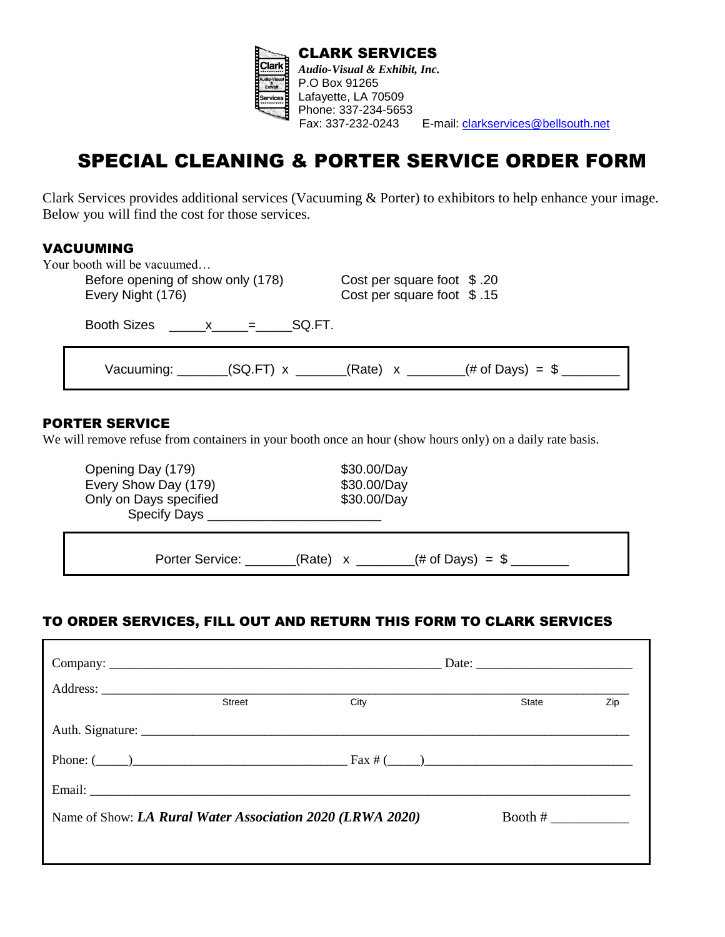

# SPECIAL CLEANING & PORTER SERVICE ORDER FORM

Clark Services provides additional services (Vacuuming & Porter) to exhibitors to help enhance your image. Below you will find the cost for those services.

#### VACUUMING

| Your booth will be vacuumed<br>Before opening of show only (178)<br>Every Night (176) | Cost per square foot $$.20$<br>Cost per square foot \$.15 |  |
|---------------------------------------------------------------------------------------|-----------------------------------------------------------|--|
| Booth Sizes<br>SQ.FT.<br>$\mathsf{X} =$                                               |                                                           |  |
| Vacuuming: _______(SQ.FT) x ______(Rate) x _______(# of Days) = $\frac{4}{3}$ _______ |                                                           |  |

#### PORTER SERVICE

We will remove refuse from containers in your booth once an hour (show hours only) on a daily rate basis.

| Opening Day (179)<br>Every Show Day (179)<br>Only on Days specified<br>Specify Days | \$30.00/Day<br>\$30.00/Day<br>\$30.00/Day |
|-------------------------------------------------------------------------------------|-------------------------------------------|
| Porter Service:                                                                     | (# of Days) = $\frac{6}{2}$<br>(Rate) x   |

## TO ORDER SERVICES, FILL OUT AND RETURN THIS FORM TO CLARK SERVICES

|                                                           | <b>Street</b> | City            | State     | Zip |  |
|-----------------------------------------------------------|---------------|-----------------|-----------|-----|--|
|                                                           |               |                 |           |     |  |
|                                                           |               | Phone: $(\_\_)$ |           |     |  |
|                                                           |               |                 |           |     |  |
| Name of Show: LA Rural Water Association 2020 (LRWA 2020) |               |                 | Booth $#$ |     |  |
|                                                           |               |                 |           |     |  |